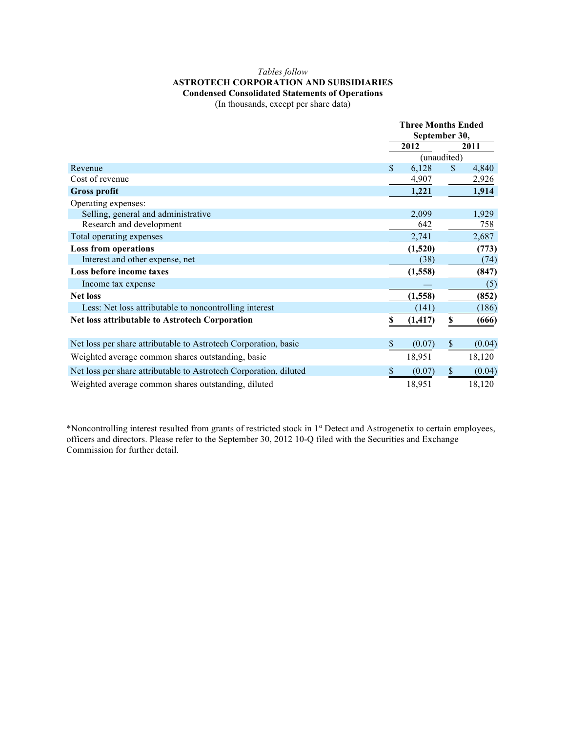## *Tables follow* **ASTROTECH CORPORATION AND SUBSIDIARIES Condensed Consolidated Statements of Operations**

(In thousands, except per share data)

|                                                                   | <b>Three Months Ended</b><br>September 30, |                     |        |  |
|-------------------------------------------------------------------|--------------------------------------------|---------------------|--------|--|
|                                                                   | 2012                                       | 2011<br>(unaudited) |        |  |
|                                                                   |                                            |                     |        |  |
| Revenue                                                           | \$<br>6,128                                | S.                  | 4,840  |  |
| Cost of revenue                                                   | 4,907                                      |                     | 2,926  |  |
| <b>Gross profit</b>                                               | 1,221                                      |                     | 1,914  |  |
| Operating expenses:                                               |                                            |                     |        |  |
| Selling, general and administrative                               | 2,099                                      |                     | 1,929  |  |
| Research and development                                          | 642                                        |                     | 758    |  |
| Total operating expenses                                          | 2,741                                      |                     | 2,687  |  |
| <b>Loss from operations</b>                                       | (1,520)                                    |                     | (773)  |  |
| Interest and other expense, net                                   | (38)                                       |                     | (74)   |  |
| Loss before income taxes                                          | (1, 558)                                   |                     | (847)  |  |
| Income tax expense                                                |                                            |                     | (5)    |  |
| <b>Net loss</b>                                                   | (1, 558)                                   |                     | (852)  |  |
| Less: Net loss attributable to noncontrolling interest            | (141)                                      |                     | (186)  |  |
| Net loss attributable to Astrotech Corporation                    | \$<br>(1, 417)                             | \$                  | (666)  |  |
| Net loss per share attributable to Astrotech Corporation, basic   | \$<br>(0.07)                               | \$                  | (0.04) |  |
| Weighted average common shares outstanding, basic                 | 18,951                                     |                     | 18,120 |  |
| Net loss per share attributable to Astrotech Corporation, diluted | \$<br>(0.07)                               | \$                  | (0.04) |  |
| Weighted average common shares outstanding, diluted               | 18,951                                     |                     | 18,120 |  |

\*Noncontrolling interest resulted from grants of restricted stock in 1st Detect and Astrogenetix to certain employees, officers and directors. Please refer to the September 30, 2012 10-Q filed with the Securities and Exchange Commission for further detail.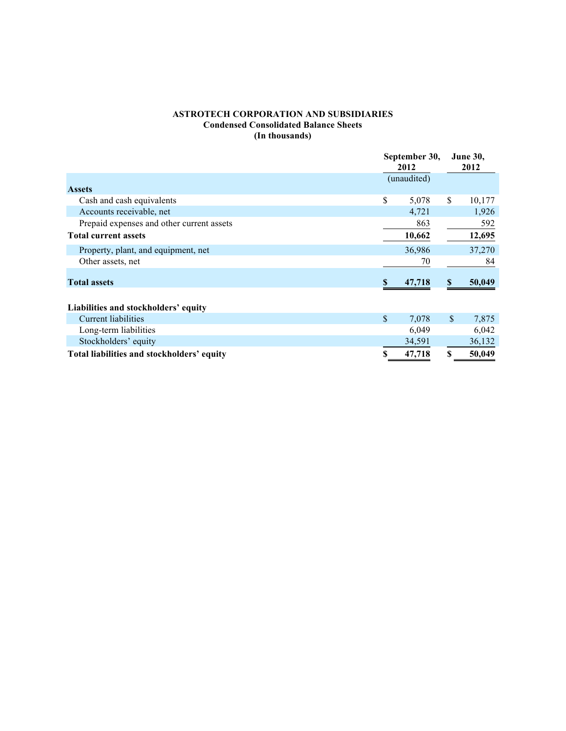## **ASTROTECH CORPORATION AND SUBSIDIARIES Condensed Consolidated Balance Sheets (In thousands)**

|                                            | September 30,<br>2012 |              | <b>June 30,</b><br>2012 |  |
|--------------------------------------------|-----------------------|--------------|-------------------------|--|
|                                            | (unaudited)           |              |                         |  |
| <b>Assets</b>                              |                       |              |                         |  |
| Cash and cash equivalents                  | \$<br>5,078           | \$           | 10,177                  |  |
| Accounts receivable, net                   | 4,721                 |              | 1,926                   |  |
| Prepaid expenses and other current assets  | 863                   |              | 592                     |  |
| <b>Total current assets</b>                | 10,662                |              | 12,695                  |  |
| Property, plant, and equipment, net        | 36,986                |              | 37,270                  |  |
| Other assets, net                          | 70                    |              | 84                      |  |
| <b>Total assets</b>                        | 47,718                | S.           | 50,049                  |  |
| Liabilities and stockholders' equity       |                       |              |                         |  |
| Current liabilities                        | \$<br>7,078           | $\mathbb{S}$ | 7,875                   |  |
| Long-term liabilities                      | 6,049                 |              | 6,042                   |  |
| Stockholders' equity                       | 34,591                |              | 36,132                  |  |
| Total liabilities and stockholders' equity | 47,718                | \$           | 50,049                  |  |